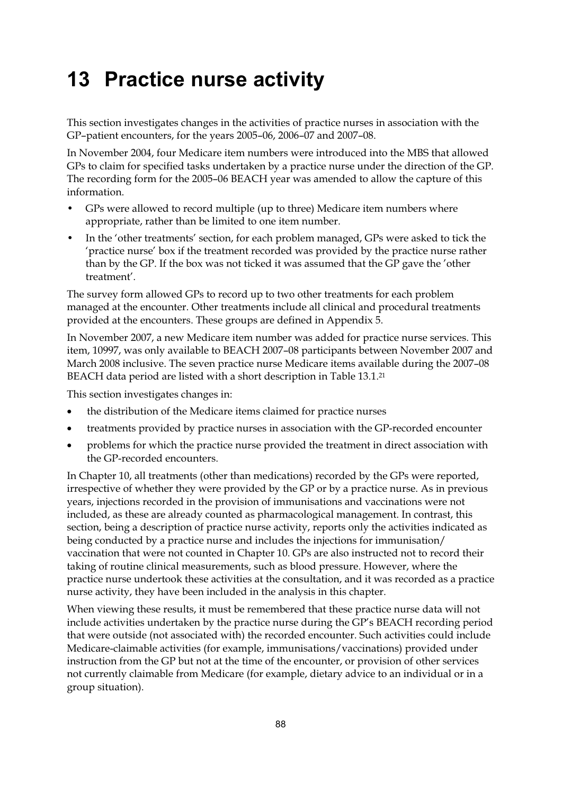# **13 Practice nurse activity**

This section investigates changes in the activities of practice nurses in association with the GP–patient encounters, for the years 2005–06, 2006–07 and 2007–08.

In November 2004, four Medicare item numbers were introduced into the MBS that allowed GPs to claim for specified tasks undertaken by a practice nurse under the direction of the GP. The recording form for the 2005–06 BEACH year was amended to allow the capture of this information.

- GPs were allowed to record multiple (up to three) Medicare item numbers where appropriate, rather than be limited to one item number.
- In the 'other treatments' section, for each problem managed, GPs were asked to tick the 'practice nurse' box if the treatment recorded was provided by the practice nurse rather than by the GP. If the box was not ticked it was assumed that the GP gave the 'other treatment'.

The survey form allowed GPs to record up to two other treatments for each problem managed at the encounter. Other treatments include all clinical and procedural treatments provided at the encounters. These groups are defined in Appendix 5.

In November 2007, a new Medicare item number was added for practice nurse services. This item, 10997, was only available to BEACH 2007–08 participants between November 2007 and March 2008 inclusive. The seven practice nurse Medicare items available during the 2007–08 BEACH data period are listed with a short description in Table 13.1.21

This section investigates changes in:

- $\bullet$ the distribution of the Medicare items claimed for practice nurses
- $\bullet$ treatments provided by practice nurses in association with the GP-recorded encounter
- $\bullet$  problems for which the practice nurse provided the treatment in direct association with the GP-recorded encounters.

In Chapter 10, all treatments (other than medications) recorded by the GPs were reported, irrespective of whether they were provided by the GP or by a practice nurse. As in previous years, injections recorded in the provision of immunisations and vaccinations were not included, as these are already counted as pharmacological management. In contrast, this section, being a description of practice nurse activity, reports only the activities indicated as being conducted by a practice nurse and includes the injections for immunisation/ vaccination that were not counted in Chapter 10. GPs are also instructed not to record their taking of routine clinical measurements, such as blood pressure. However, where the practice nurse undertook these activities at the consultation, and it was recorded as a practice nurse activity, they have been included in the analysis in this chapter.

When viewing these results, it must be remembered that these practice nurse data will not include activities undertaken by the practice nurse during the GP's BEACH recording period that were outside (not associated with) the recorded encounter. Such activities could include Medicare-claimable activities (for example, immunisations/vaccinations) provided under instruction from the GP but not at the time of the encounter, or provision of other services not currently claimable from Medicare (for example, dietary advice to an individual or in a group situation).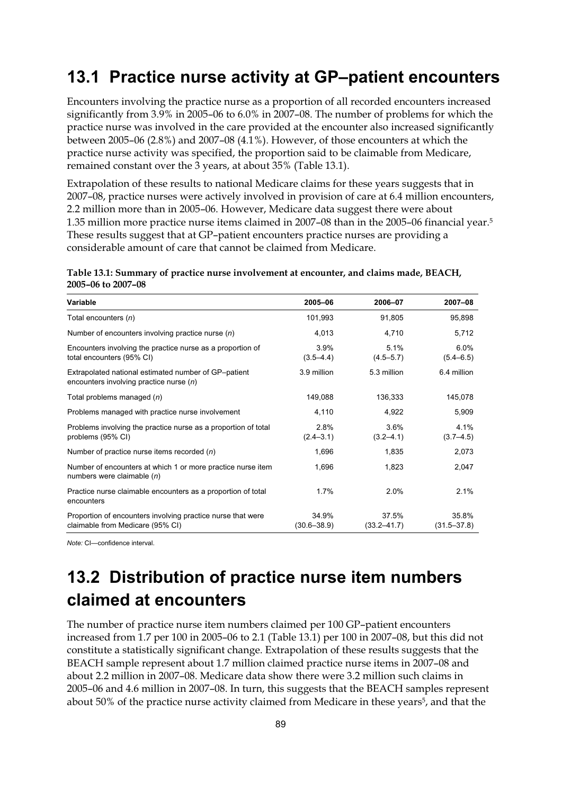### **13.1 Practice nurse activity at GP–patient encounters**

Encounters involving the practice nurse as a proportion of all recorded encounters increased significantly from 3.9% in 2005–06 to 6.0% in 2007–08. The number of problems for which the practice nurse was involved in the care provided at the encounter also increased significantly between 2005–06 (2.8%) and 2007–08 (4.1%). However, of those encounters at which the practice nurse activity was specified, the proportion said to be claimable from Medicare, remained constant over the 3 years, at about 35% (Table 13.1).

Extrapolation of these results to national Medicare claims for these years suggests that in 2007–08, practice nurses were actively involved in provision of care at 6.4 million encounters, 2.2 million more than in 2005–06. However, Medicare data suggest there were about 1.35 million more practice nurse items claimed in 2007–08 than in the 2005–06 financial year.5 These results suggest that at GP–patient encounters practice nurses are providing a considerable amount of care that cannot be claimed from Medicare.

**Table 13.1: Summary of practice nurse involvement at encounter, and claims made, BEACH, 2005–06 to 2007–08** 

| Variable                                                                                          | 2005-06                  | 2006-07                  | 2007-08                  |
|---------------------------------------------------------------------------------------------------|--------------------------|--------------------------|--------------------------|
| Total encounters (n)                                                                              | 101,993                  | 91.805                   | 95,898                   |
| Number of encounters involving practice nurse $(n)$                                               | 4,013                    | 4,710                    | 5,712                    |
| Encounters involving the practice nurse as a proportion of<br>total encounters (95% CI)           | 3.9%<br>$(3.5 - 4.4)$    | 5.1%<br>$(4.5 - 5.7)$    | 6.0%<br>$(5.4 - 6.5)$    |
| Extrapolated national estimated number of GP-patient<br>encounters involving practice nurse $(n)$ | 3.9 million              | 5.3 million              | 6.4 million              |
| Total problems managed $(n)$                                                                      | 149,088                  | 136,333                  | 145,078                  |
| Problems managed with practice nurse involvement                                                  | 4,110                    | 4,922                    | 5,909                    |
| Problems involving the practice nurse as a proportion of total<br>problems (95% CI)               | 2.8%<br>$(2.4 - 3.1)$    | $3.6\%$<br>$(3.2 - 4.1)$ | 4.1%<br>$(3.7 - 4.5)$    |
| Number of practice nurse items recorded $(n)$                                                     | 1,696                    | 1,835                    | 2,073                    |
| Number of encounters at which 1 or more practice nurse item<br>numbers were claimable $(n)$       | 1,696                    | 1,823                    | 2,047                    |
| Practice nurse claimable encounters as a proportion of total<br>encounters                        | 1.7%                     | 2.0%                     | 2.1%                     |
| Proportion of encounters involving practice nurse that were<br>claimable from Medicare (95% CI)   | 34.9%<br>$(30.6 - 38.9)$ | 37.5%<br>$(33.2 - 41.7)$ | 35.8%<br>$(31.5 - 37.8)$ |

*Note:* CI—confidence interval.

## **13.2 Distribution of practice nurse item numbers claimed at encounters**

The number of practice nurse item numbers claimed per 100 GP–patient encounters increased from 1.7 per 100 in 2005–06 to 2.1 (Table 13.1) per 100 in 2007–08, but this did not constitute a statistically significant change. Extrapolation of these results suggests that the BEACH sample represent about 1.7 million claimed practice nurse items in 2007–08 and about 2.2 million in 2007–08. Medicare data show there were 3.2 million such claims in 2005–06 and 4.6 million in 2007–08. In turn, this suggests that the BEACH samples represent about 50% of the practice nurse activity claimed from Medicare in these years<sup>5</sup>, and that the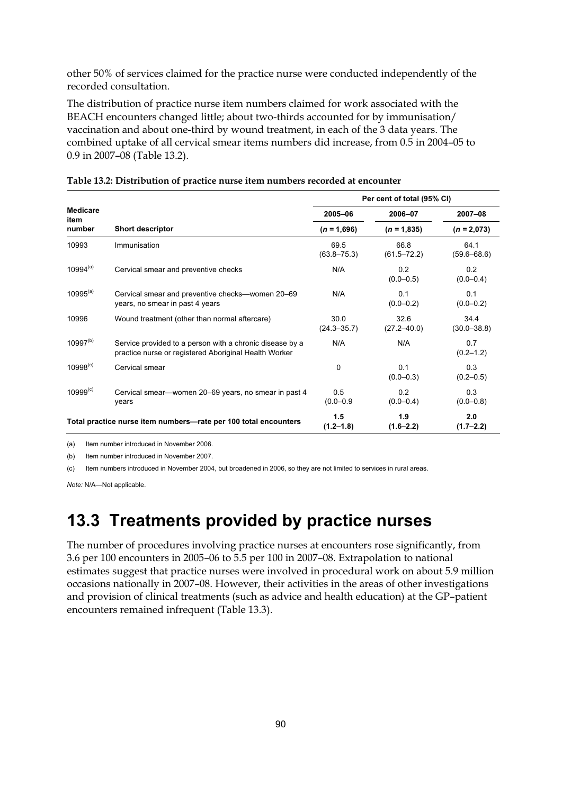other 50% of services claimed for the practice nurse were conducted independently of the recorded consultation.

The distribution of practice nurse item numbers claimed for work associated with the BEACH encounters changed little; about two-thirds accounted for by immunisation/ vaccination and about one-third by wound treatment, in each of the 3 data years. The combined uptake of all cervical smear items numbers did increase, from 0.5 in 2004–05 to 0.9 in 2007–08 (Table 13.2).

|                         |                                                                                                                   | Per cent of total (95% CI) |                         |                         |  |
|-------------------------|-------------------------------------------------------------------------------------------------------------------|----------------------------|-------------------------|-------------------------|--|
| <b>Medicare</b><br>item |                                                                                                                   | 2005-06                    | 2006-07                 | $2007 - 08$             |  |
| number                  | <b>Short descriptor</b>                                                                                           | $(n = 1,696)$              | $(n = 1.835)$           | $(n = 2,073)$           |  |
| 10993                   | Immunisation                                                                                                      | 69.5<br>$(63.8 - 75.3)$    | 66.8<br>$(61.5 - 72.2)$ | 64.1<br>$(59.6 - 68.6)$ |  |
| $10994^{(a)}$           | Cervical smear and preventive checks                                                                              | N/A                        | 0.2<br>$(0.0 - 0.5)$    | 0.2<br>$(0.0 - 0.4)$    |  |
| $10995^{(a)}$           | Cervical smear and preventive checks-women 20-69<br>years, no smear in past 4 years                               | N/A                        | 0.1<br>$(0.0 - 0.2)$    | 0.1<br>$(0.0 - 0.2)$    |  |
| 10996                   | Wound treatment (other than normal aftercare)                                                                     | 30.0<br>$(24.3 - 35.7)$    | 32.6<br>$(27.2 - 40.0)$ | 34.4<br>$(30.0 - 38.8)$ |  |
| $10997^{(b)}$           | Service provided to a person with a chronic disease by a<br>practice nurse or registered Aboriginal Health Worker | N/A                        | N/A                     | 0.7<br>$(0.2 - 1.2)$    |  |
| $10998^{(c)}$           | Cervical smear                                                                                                    | $\Omega$                   | 0.1<br>$(0.0 - 0.3)$    | 0.3<br>$(0.2 - 0.5)$    |  |
| $10999^{(c)}$           | Cervical smear-women 20-69 years, no smear in past 4<br>years                                                     | 0.5<br>$(0.0 - 0.9)$       | 0.2<br>$(0.0 - 0.4)$    | 0.3<br>$(0.0 - 0.8)$    |  |
|                         | Total practice nurse item numbers-rate per 100 total encounters                                                   | 1.5<br>$(1.2 - 1.8)$       | 1.9<br>$(1.6 - 2.2)$    | 2.0<br>$(1.7 - 2.2)$    |  |

|  |  | Table 13.2: Distribution of practice nurse item numbers recorded at encounter |
|--|--|-------------------------------------------------------------------------------|
|--|--|-------------------------------------------------------------------------------|

(a) Item number introduced in November 2006.

(b) Item number introduced in November 2007.

(c) Item numbers introduced in November 2004, but broadened in 2006, so they are not limited to services in rural areas.

*Note:* N/A—Not applicable.

### **13.3 Treatments provided by practice nurses**

The number of procedures involving practice nurses at encounters rose significantly, from 3.6 per 100 encounters in 2005–06 to 5.5 per 100 in 2007–08. Extrapolation to national estimates suggest that practice nurses were involved in procedural work on about 5.9 million occasions nationally in 2007–08. However, their activities in the areas of other investigations and provision of clinical treatments (such as advice and health education) at the GP–patient encounters remained infrequent (Table 13.3).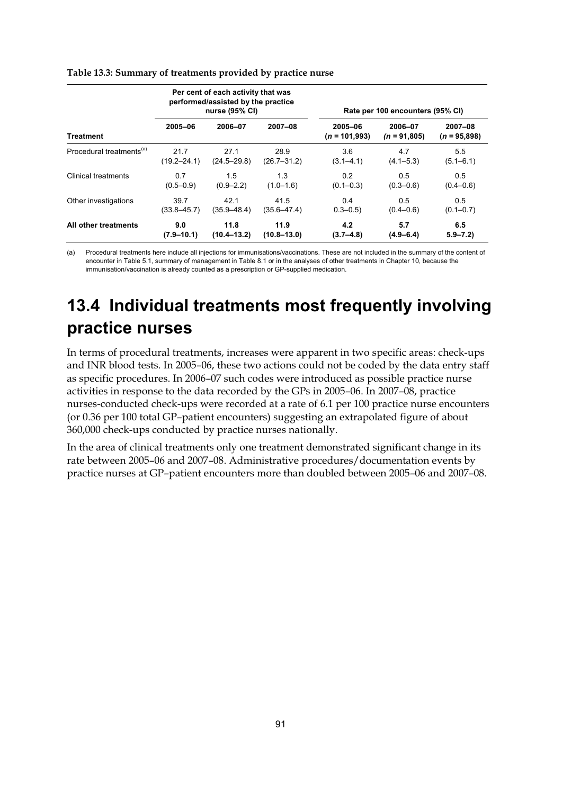| Per cent of each activity that was<br>performed/assisted by the practice<br>nurse (95% CI) |                 |                 |                 | Rate per 100 encounters (95% CI) |                           |                               |
|--------------------------------------------------------------------------------------------|-----------------|-----------------|-----------------|----------------------------------|---------------------------|-------------------------------|
| <b>Treatment</b>                                                                           | 2005-06         | 2006-07         | $2007 - 08$     | 2005-06<br>$(n = 101,993)$       | 2006-07<br>$(n = 91,805)$ | $2007 - 08$<br>$(n = 95,898)$ |
| Procedural treatments <sup>(a)</sup>                                                       | 21.7            | 27.1            | 28.9            | 3.6                              | 4.7                       | $5.5^{\circ}$                 |
|                                                                                            | $(19.2 - 24.1)$ | $(24.5 - 29.8)$ | $(26.7 - 31.2)$ | $(3.1 - 4.1)$                    | $(4.1 - 5.3)$             | $(5.1 - 6.1)$                 |
| <b>Clinical treatments</b>                                                                 | 0.7             | 1.5             | 1.3             | 0.2                              | 0.5                       | 0.5                           |
|                                                                                            | $(0.5 - 0.9)$   | $(0.9 - 2.2)$   | $(1.0 - 1.6)$   | $(0.1 - 0.3)$                    | $(0.3 - 0.6)$             | $(0.4 - 0.6)$                 |
| Other investigations                                                                       | 39.7            | 42.1            | 41.5            | 0.4                              | 0.5                       | 0.5                           |
|                                                                                            | $(33.8 - 45.7)$ | $(35.9 - 48.4)$ | $(35.6 - 47.4)$ | $0.3 - 0.5$                      | $(0.4 - 0.6)$             | $(0.1 - 0.7)$                 |
| All other treatments                                                                       | 9.0             | 11.8            | 11.9            | 4.2                              | 5.7                       | 6.5                           |
|                                                                                            | $(7.9 - 10.1)$  | $(10.4 - 13.2)$ | $(10.8 - 13.0)$ | $(3.7 - 4.8)$                    | $(4.9 - 6.4)$             | $5.9 - 7.2$                   |

#### **Table 13.3: Summary of treatments provided by practice nurse**

(a) Procedural treatments here include all injections for immunisations/vaccinations. These are not included in the summary of the content of encounter in Table 5.1, summary of management in Table 8.1 or in the analyses of other treatments in Chapter 10, because the immunisation/vaccination is already counted as a prescription or GP-supplied medication.

## **13.4 Individual treatments most frequently involving practice nurses**

In terms of procedural treatments, increases were apparent in two specific areas: check-ups and INR blood tests. In 2005–06, these two actions could not be coded by the data entry staff as specific procedures. In 2006–07 such codes were introduced as possible practice nurse activities in response to the data recorded by the GPs in 2005–06. In 2007–08, practice nurses-conducted check-ups were recorded at a rate of 6.1 per 100 practice nurse encounters (or 0.36 per 100 total GP–patient encounters) suggesting an extrapolated figure of about 360,000 check-ups conducted by practice nurses nationally.

In the area of clinical treatments only one treatment demonstrated significant change in its rate between 2005–06 and 2007–08. Administrative procedures/documentation events by practice nurses at GP–patient encounters more than doubled between 2005–06 and 2007–08.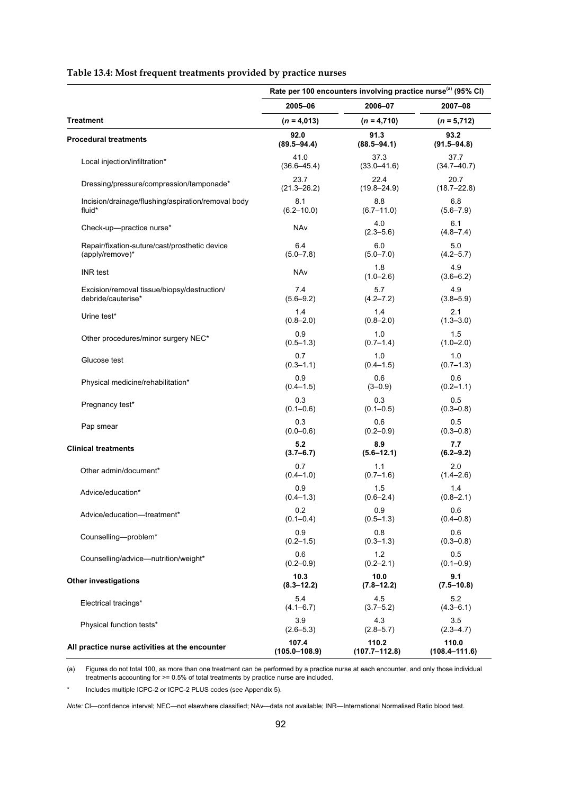#### **Table 13.4: Most frequent treatments provided by practice nurses**

|                                                    | Rate per 100 encounters involving practice nurse <sup>(a)</sup> (95% CI) |                      |                      |  |
|----------------------------------------------------|--------------------------------------------------------------------------|----------------------|----------------------|--|
|                                                    | 2005-06                                                                  | 2006-07              | 2007-08              |  |
| <b>Treatment</b>                                   | $(n = 4,013)$                                                            | $(n = 4,710)$        | $(n = 5,712)$        |  |
| <b>Procedural treatments</b>                       | 92.0                                                                     | 91.3                 | 93.2                 |  |
|                                                    | $(89.5 - 94.4)$                                                          | $(88.5 - 94.1)$      | $(91.5 - 94.8)$      |  |
| Local injection/infiltration*                      | 41.0                                                                     | 37.3                 | 37.7                 |  |
|                                                    | $(36.6 - 45.4)$                                                          | $(33.0 - 41.6)$      | $(34.7 - 40.7)$      |  |
| Dressing/pressure/compression/tamponade*           | 23.7                                                                     | 22.4                 | 20.7                 |  |
|                                                    | $(21.3 - 26.2)$                                                          | $(19.8 - 24.9)$      | $(18.7 - 22.8)$      |  |
| Incision/drainage/flushing/aspiration/removal body | 8.1                                                                      | 8.8                  | 6.8                  |  |
| fluid*                                             | $(6.2 - 10.0)$                                                           | $(6.7 - 11.0)$       | $(5.6 - 7.9)$        |  |
| Check-up-practice nurse*                           | NAv                                                                      | 4.0<br>$(2.3 - 5.6)$ | 6.1<br>$(4.8 - 7.4)$ |  |
| Repair/fixation-suture/cast/prosthetic device      | 6.4                                                                      | 6.0                  | 5.0                  |  |
| (apply/remove)*                                    | $(5.0 - 7.8)$                                                            | $(5.0 - 7.0)$        | $(4.2 - 5.7)$        |  |
| <b>INR</b> test                                    | NAv                                                                      | 1.8<br>$(1.0 - 2.6)$ | 4.9<br>$(3.6 - 6.2)$ |  |
| Excision/removal tissue/biopsy/destruction/        | 7.4                                                                      | 5.7                  | 4.9                  |  |
| debride/cauterise*                                 | $(5.6 - 9.2)$                                                            | $(4.2 - 7.2)$        | $(3.8 - 5.9)$        |  |
| Urine test*                                        | 1.4                                                                      | 1.4                  | 2.1                  |  |
|                                                    | $(0.8 - 2.0)$                                                            | $(0.8 - 2.0)$        | $(1.3 - 3.0)$        |  |
| Other procedures/minor surgery NEC*                | 0.9                                                                      | 1.0                  | 1.5                  |  |
|                                                    | $(0.5 - 1.3)$                                                            | $(0.7 - 1.4)$        | $(1.0 - 2.0)$        |  |
| Glucose test                                       | 0.7                                                                      | 1.0                  | 1.0                  |  |
|                                                    | $(0.3 - 1.1)$                                                            | $(0.4 - 1.5)$        | $(0.7 - 1.3)$        |  |
| Physical medicine/rehabilitation*                  | 0.9                                                                      | 0.6                  | 0.6                  |  |
|                                                    | $(0.4 - 1.5)$                                                            | $(3 - 0.9)$          | $(0.2 - 1.1)$        |  |
| Pregnancy test*                                    | 0.3                                                                      | 0.3                  | 0.5                  |  |
|                                                    | $(0.1 - 0.6)$                                                            | $(0.1 - 0.5)$        | $(0.3 - 0.8)$        |  |
| Pap smear                                          | 0.3                                                                      | 0.6                  | 0.5                  |  |
|                                                    | $(0.0 - 0.6)$                                                            | $(0.2 - 0.9)$        | $(0.3 - 0.8)$        |  |
| <b>Clinical treatments</b>                         | 5.2                                                                      | 8.9                  | 7.7                  |  |
|                                                    | $(3.7 - 6.7)$                                                            | $(5.6 - 12.1)$       | $(6.2 - 9.2)$        |  |
| Other admin/document*                              | 0.7                                                                      | 1.1                  | 2.0                  |  |
|                                                    | $(0.4 - 1.0)$                                                            | $(0.7 - 1.6)$        | $(1.4 - 2.6)$        |  |
| Advice/education*                                  | 0.9                                                                      | 1.5                  | 1.4                  |  |
|                                                    | $(0.4 - 1.3)$                                                            | $(0.6 - 2.4)$        | $(0.8 - 2.1)$        |  |
| Advice/education-treatment*                        | 0.2                                                                      | 0.9                  | 0.6                  |  |
|                                                    | $(0.1 - 0.4)$                                                            | $(0.5 - 1.3)$        | $(0.4 - 0.8)$        |  |
| Counselling-problem*                               | 0.9                                                                      | 0.8                  | 0.6                  |  |
|                                                    | $(0.2 - 1.5)$                                                            | $(0.3 - 1.3)$        | $(0.3 - 0.8)$        |  |
| Counselling/advice-nutrition/weight*               | 0.6                                                                      | 1.2                  | 0.5                  |  |
|                                                    | $(0.2 - 0.9)$                                                            | $(0.2 - 2.1)$        | $(0.1 - 0.9)$        |  |
| <b>Other investigations</b>                        | 10.3                                                                     | 10.0                 | 9.1                  |  |
|                                                    | $(8.3 - 12.2)$                                                           | $(7.8 - 12.2)$       | $(7.5 - 10.8)$       |  |
| Electrical tracings*                               | 5.4                                                                      | 4.5                  | 5.2                  |  |
|                                                    | $(4.1 - 6.7)$                                                            | $(3.7 - 5.2)$        | $(4.3 - 6.1)$        |  |
| Physical function tests*                           | 3.9                                                                      | 4.3                  | 3.5                  |  |
|                                                    | $(2.6 - 5.3)$                                                            | $(2.8 - 5.7)$        | $(2.3 - 4.7)$        |  |
| All practice nurse activities at the encounter     | 107.4                                                                    | 110.2                | 110.0                |  |
|                                                    | $(105.0 - 108.9)$                                                        | $(107.7 - 112.8)$    | $(108.4 - 111.6)$    |  |

(a) Figures do not total 100, as more than one treatment can be performed by a practice nurse at each encounter, and only those individual treatments accounting for >= 0.5% of total treatments by practice nurse are included.

Includes multiple ICPC-2 or ICPC-2 PLUS codes (see Appendix 5).

*Note:* CI—confidence interval; NEC—not elsewhere classified; NAv—data not available; INR—International Normalised Ratio blood test.